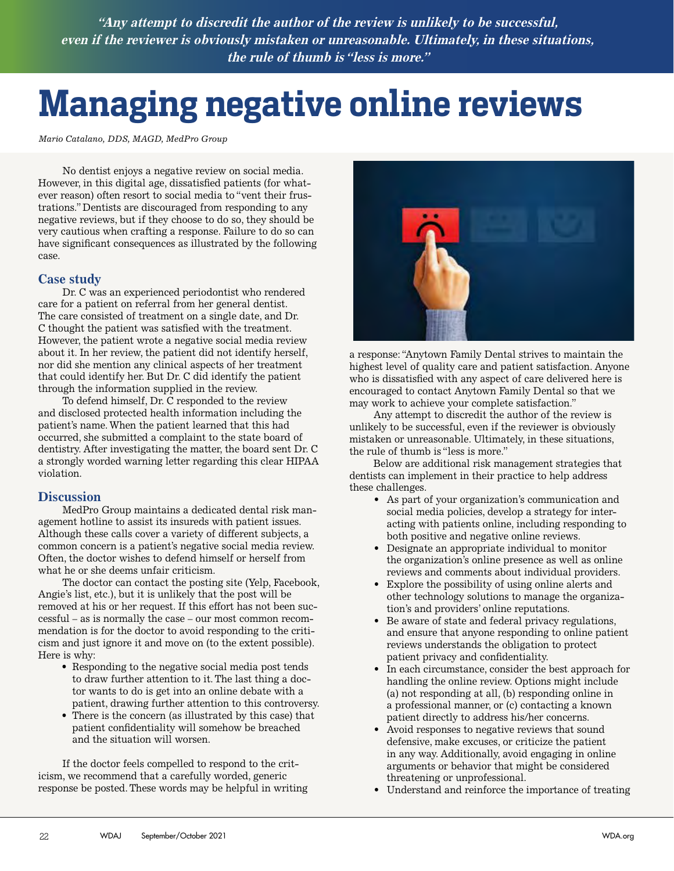**"Any attempt to discredit the author of the review is unlikely to be successful, even if the reviewer is obviously mistaken or unreasonable. Ultimately, in these situations, the rule of thumb is "less is more."**

# **Managing negative online reviews**

*Mario Catalano, DDS, MAGD, MedPro Group*

No dentist enjoys a negative review on social media. However, in this digital age, dissatisfied patients (for whatever reason) often resort to social media to "vent their frustrations." Dentists are discouraged from responding to any negative reviews, but if they choose to do so, they should be very cautious when crafting a response. Failure to do so can have significant consequences as illustrated by the following case.

## **Case study**

Dr. C was an experienced periodontist who rendered care for a patient on referral from her general dentist. The care consisted of treatment on a single date, and Dr. C thought the patient was satisfied with the treatment. However, the patient wrote a negative social media review about it. In her review, the patient did not identify herself, nor did she mention any clinical aspects of her treatment that could identify her. But Dr. C did identify the patient through the information supplied in the review.

To defend himself, Dr. C responded to the review and disclosed protected health information including the patient's name. When the patient learned that this had occurred, she submitted a complaint to the state board of dentistry. After investigating the matter, the board sent Dr. C a strongly worded warning letter regarding this clear HIPAA violation.

#### **Discussion**

MedPro Group maintains a dedicated dental risk management hotline to assist its insureds with patient issues. Although these calls cover a variety of different subjects, a common concern is a patient's negative social media review. Often, the doctor wishes to defend himself or herself from what he or she deems unfair criticism.

The doctor can contact the posting site (Yelp, Facebook, Angie's list, etc.), but it is unlikely that the post will be removed at his or her request. If this effort has not been successful – as is normally the case – our most common recommendation is for the doctor to avoid responding to the criticism and just ignore it and move on (to the extent possible). Here is why:

- Responding to the negative social media post tends to draw further attention to it. The last thing a doctor wants to do is get into an online debate with a patient, drawing further attention to this controversy.
- There is the concern (as illustrated by this case) that patient confidentiality will somehow be breached and the situation will worsen.

If the doctor feels compelled to respond to the criticism, we recommend that a carefully worded, generic response be posted. These words may be helpful in writing



a response: "Anytown Family Dental strives to maintain the highest level of quality care and patient satisfaction. Anyone who is dissatisfied with any aspect of care delivered here is encouraged to contact Anytown Family Dental so that we may work to achieve your complete satisfaction."

Any attempt to discredit the author of the review is unlikely to be successful, even if the reviewer is obviously mistaken or unreasonable. Ultimately, in these situations, the rule of thumb is "less is more."

Below are additional risk management strategies that dentists can implement in their practice to help address these challenges.

- As part of your organization's communication and social media policies, develop a strategy for interacting with patients online, including responding to both positive and negative online reviews.
- Designate an appropriate individual to monitor the organization's online presence as well as online reviews and comments about individual providers.
- Explore the possibility of using online alerts and other technology solutions to manage the organization's and providers' online reputations.
- Be aware of state and federal privacy regulations, and ensure that anyone responding to online patient reviews understands the obligation to protect patient privacy and confidentiality.
- In each circumstance, consider the best approach for handling the online review. Options might include (a) not responding at all, (b) responding online in a professional manner, or (c) contacting a known patient directly to address his/her concerns.
- Avoid responses to negative reviews that sound defensive, make excuses, or criticize the patient in any way. Additionally, avoid engaging in online arguments or behavior that might be considered threatening or unprofessional.
- Understand and reinforce the importance of treating